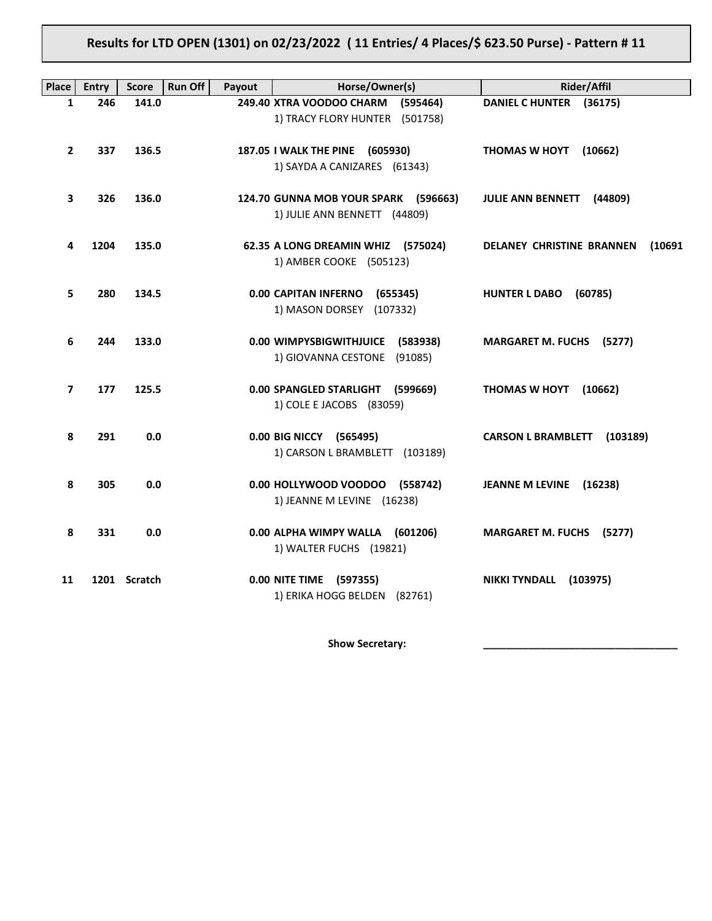# **Results for LTD OPEN (1301) on 02/23/2022 ( 11 Entries/ 4 Places/\$ 623.50 Purse) - Pattern # 11**

| <b>Place</b>   | <b>Entry</b> | <b>Score</b> | <b>Run Off</b><br>Payout | Horse/Owner(s)                                                       | <b>Rider/Affil</b>                         |
|----------------|--------------|--------------|--------------------------|----------------------------------------------------------------------|--------------------------------------------|
| 1              | 246          | 141.0        |                          | 249.40 XTRA VOODOO CHARM (595464)<br>1) TRACY FLORY HUNTER (501758)  | DANIEL C HUNTER (36175)                    |
| $\overline{2}$ | 337          | 136.5        |                          | 187.05 I WALK THE PINE (605930)<br>1) SAYDA A CANIZARES (61343)      | <b>THOMAS W HOYT</b><br>(10662)            |
| 3              | 326          | 136.0        |                          | 124.70 GUNNA MOB YOUR SPARK (596663)<br>1) JULIE ANN BENNETT (44809) | JULIE ANN BENNETT (44809)                  |
| 4              | 1204         | 135.0        |                          | 62.35 A LONG DREAMIN WHIZ (575024)<br>1) AMBER COOKE (505123)        | <b>DELANEY CHRISTINE BRANNEN</b><br>(10691 |
| 5              | 280          | 134.5        |                          | <b>0.00 CAPITAN INFERNO</b><br>(655345)<br>1) MASON DORSEY (107332)  | HUNTER L DABO (60785)                      |
| 6              | 244          | 133.0        |                          | 0.00 WIMPYSBIGWITHJUICE (583938)<br>1) GIOVANNA CESTONE (91085)      | <b>MARGARET M. FUCHS (5277)</b>            |
| $\overline{ }$ | 177          | 125.5        |                          | 0.00 SPANGLED STARLIGHT (599669)<br>1) COLE E JACOBS (83059)         | <b>THOMAS W HOYT</b><br>(10662)            |
| 8              | 291          | 0.0          |                          | 0.00 BIG NICCY (565495)<br>1) CARSON L BRAMBLETT (103189)            | CARSON L BRAMBLETT (103189)                |
| 8              | 305          | 0.0          |                          | 0.00 HOLLYWOOD VOODOO (558742)<br>1) JEANNE M LEVINE (16238)         | JEANNE M LEVINE (16238)                    |
| 8              | 331          | 0.0          |                          | 0.00 ALPHA WIMPY WALLA (601206)<br>1) WALTER FUCHS (19821)           | <b>MARGARET M. FUCHS (5277)</b>            |
| 11             |              | 1201 Scratch |                          | 0.00 NITE TIME (597355)<br>1) ERIKA HOGG BELDEN (82761)              | NIKKI TYNDALL (103975)                     |

Show Secretary: